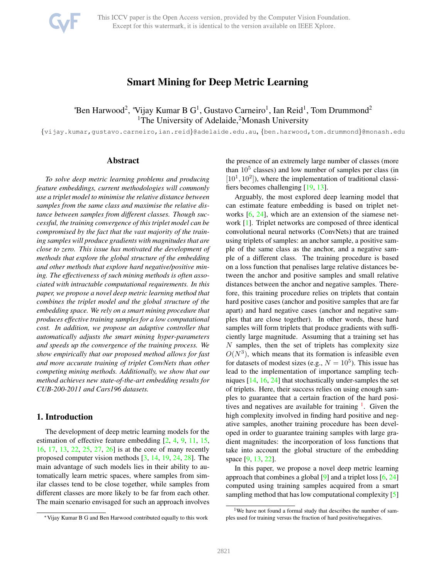

# Smart Mining for Deep Metric Learning

# \*Ben Harwood<sup>2</sup>, \*Vijay Kumar B G<sup>1</sup>, Gustavo Carneiro<sup>1</sup>, Ian Reid<sup>1</sup>, Tom Drummond<sup>2</sup> <sup>1</sup>The University of Adelaide,<sup>2</sup>Monash University

{vijay.kumar,gustavo.carneiro,ian.reid}@adelaide.edu.au, {ben.harwood,tom.drummond}@monash.edu

# Abstract

*To solve deep metric learning problems and producing feature embeddings, current methodologies will commonly use a triplet model to minimise the relative distance between samples from the same class and maximise the relative distance between samples from different classes. Though successful, the training convergence of this triplet model can be compromised by the fact that the vast majority of the training samples will produce gradients with magnitudes that are close to zero. This issue has motivated the development of methods that explore the global structure of the embedding and other methods that explore hard negative/positive mining. The effectiveness of such mining methods is often associated with intractable computational requirements. In this paper, we propose a novel deep metric learning method that combines the triplet model and the global structure of the embedding space. We rely on a smart mining procedure that produces effective training samples for a low computational cost. In addition, we propose an adaptive controller that automatically adjusts the smart mining hyper-parameters and speeds up the convergence of the training process. We show empirically that our proposed method allows for fast and more accurate training of triplet ConvNets than other competing mining methods. Additionally, we show that our method achieves new state-of-the-art embedding results for CUB-200-2011 and Cars196 datasets.*

## 1. Introduction

The development of deep metric learning models for the estimation of effective feature embedding [\[2,](#page-8-0) [4,](#page-8-1) [9,](#page-8-2) [11,](#page-8-3) [15,](#page-8-4) [16,](#page-8-5) [17,](#page-8-6) [13,](#page-8-7) [22,](#page-8-8) [25,](#page-8-9) [27,](#page-8-10) [26\]](#page-8-11) is at the core of many recently proposed computer vision methods [\[3,](#page-8-12) [14,](#page-8-13) [19,](#page-8-14) [24,](#page-8-15) [28\]](#page-8-16). The main advantage of such models lies in their ability to automatically learn metric spaces, where samples from similar classes tend to be close together, while samples from different classes are more likely to be far from each other. The main scenario envisaged for such an approach involves

the presence of an extremely large number of classes (more than  $10<sup>5</sup>$  classes) and low number of samples per class (in  $[10<sup>1</sup>, 10<sup>2</sup>]$ ), where the implementation of traditional classifiers becomes challenging [\[19,](#page-8-14) [13\]](#page-8-7).

Arguably, the most explored deep learning model that can estimate feature embedding is based on triplet networks [\[6,](#page-8-17) [24\]](#page-8-15), which are an extension of the siamese network [\[1\]](#page-8-18). Triplet networks are composed of three identical convolutional neural networks (ConvNets) that are trained using triplets of samples: an anchor sample, a positive sample of the same class as the anchor, and a negative sample of a different class. The training procedure is based on a loss function that penalises large relative distances between the anchor and positive samples and small relative distances between the anchor and negative samples. Therefore, this training procedure relies on triplets that contain hard positive cases (anchor and positive samples that are far apart) and hard negative cases (anchor and negative samples that are close together). In other words, these hard samples will form triplets that produce gradients with sufficiently large magnitude. Assuming that a training set has  $N$  samples, then the set of triplets has complexity size  $O(N<sup>3</sup>)$ , which means that its formation is infeasible even for datasets of modest sizes (e.g.,  $N = 10^5$ ). This issue has lead to the implementation of importance sampling techniques [\[14,](#page-8-13) [16,](#page-8-5) [24\]](#page-8-15) that stochastically under-samples the set of triplets. Here, their success relies on using enough samples to guarantee that a certain fraction of the hard positives and negatives are available for training  $<sup>1</sup>$  $<sup>1</sup>$  $<sup>1</sup>$ . Given the</sup> high complexity involved in finding hard positive and negative samples, another training procedure has been developed in order to guarantee training samples with large gradient magnitudes: the incorporation of loss functions that take into account the global structure of the embedding space [\[9,](#page-8-2) [13,](#page-8-7) [22\]](#page-8-8).

In this paper, we propose a novel deep metric learning approach that combines a global  $[9]$  and a triplet loss  $[6, 24]$  $[6, 24]$ computed using training samples acquired from a smart sampling method that has low computational complexity [\[5\]](#page-8-19)

<sup>∗</sup>Vijay Kumar B G and Ben Harwood contributed equally to this work

<span id="page-0-0"></span><sup>&</sup>lt;sup>1</sup>We have not found a formal study that describes the number of samples used for training versus the fraction of hard positive/negatives.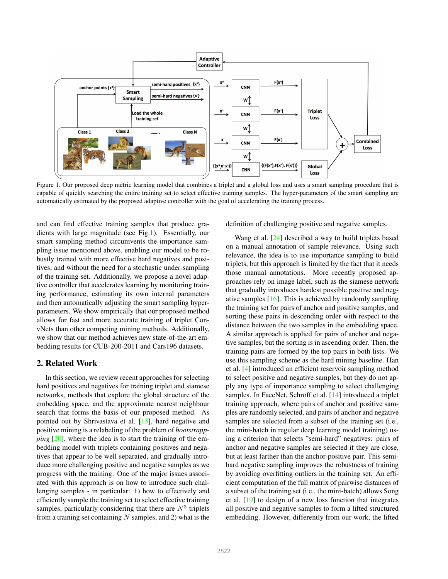

<span id="page-1-0"></span>Figure 1. Our proposed deep metric learning model that combines a triplet and a global loss and uses a smart sampling procedure that is capable of quickly searching the entire training set to select effective training samples. The hyper-parameters of the smart sampling are automatically estimated by the proposed adaptive controller with the goal of accelerating the training process.

and can find effective training samples that produce gradients with large magnitude (see Fig[.1\)](#page-1-0). Essentially, our smart sampling method circumvents the importance sampling issue mentioned above, enabling our model to be robustly trained with more effective hard negatives and positives, and without the need for a stochastic under-sampling of the training set. Additionally, we propose a novel adaptive controller that accelerates learning by monitoring training performance, estimating its own internal parameters and then automatically adjusting the smart sampling hyperparameters. We show empirically that our proposed method allows for fast and more accurate training of triplet ConvNets than other competing mining methods. Additionally, we show that our method achieves new state-of-the-art embedding results for CUB-200-2011 and Cars196 datasets.

## <span id="page-1-1"></span>2. Related Work

In this section, we review recent approaches for selecting hard positives and negatives for training triplet and siamese networks, methods that explore the global structure of the embedding space, and the approximate nearest neighbour search that forms the basis of our proposed method. As pointed out by Shrivastava et al. [\[15\]](#page-8-4), hard negative and positive mining is a relabeling of the problem of *bootstrappping* [\[20\]](#page-8-20), where the idea is to start the training of the embedding model with triplets containing positives and negatives that appear to be well separated, and gradually introduce more challenging positive and negative samples as we progress with the training. One of the major issues associated with this approach is on how to introduce such challenging samples - in particular: 1) how to effectively and efficiently sample the training set to select effective training samples, particularly considering that there are  $N^3$  triplets from a training set containing  $N$  samples, and 2) what is the definition of challenging positive and negative samples.

Wang et al. [\[24\]](#page-8-15) described a way to build triplets based on a manual annotation of sample relevance. Using such relevance, the idea is to use importance sampling to build triplets, but this approach is limited by the fact that it needs those manual annotations. More recently proposed approaches rely on image label, such as the siamese network that gradually introduces hardest possible positive and negative samples [\[16\]](#page-8-5). This is achieved by randomly sampling the training set for pairs of anchor and positive samples, and sorting these pairs in descending order with respect to the distance between the two samples in the embedding space. A similar approach is applied for pairs of anchor and negative samples, but the sorting is in ascending order. Then, the training pairs are formed by the top pairs in both lists. We use this sampling scheme as the hard mining baseline. Han et al. [\[4\]](#page-8-1) introduced an efficient reservoir sampling method to select positive and negative samples, but they do not apply any type of importance sampling to select challenging samples. In FaceNet, Schroff et al. [\[14\]](#page-8-13) introduced a triplet training approach, where pairs of anchor and positive samples are randomly selected, and pairs of anchor and negative samples are selected from a subset of the training set (i.e., the mini-batch in regular deep learning model training) using a criterion that selects "semi-hard" negatives: pairs of anchor and negative samples are selected if they are close, but at least farther than the anchor-positive pair. This semihard negative sampling improves the robustness of training by avoiding overfitting outliers in the training set. An efficient computation of the full matrix of pairwise distances of a subset of the training set (i.e., the mini-batch) allows Song et al. [\[19\]](#page-8-14) to design of a new loss function that integrates all positive and negative samples to form a lifted structured embedding. However, differently from our work, the lifted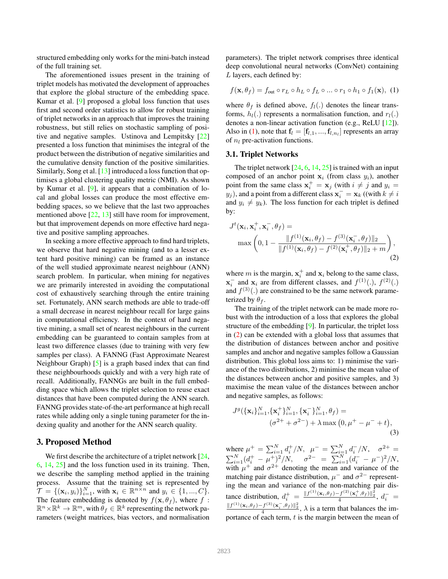structured embedding only works for the mini-batch instead of the full training set.

The aforementioned issues present in the training of triplet models has motivated the development of approaches that explore the global structure of the embedding space. Kumar et al. [\[9\]](#page-8-2) proposed a global loss function that uses first and second order statistics to allow for robust training of triplet networks in an approach that improves the training robustness, but still relies on stochastic sampling of positive and negative samples. Ustinova and Lempitsky [\[22\]](#page-8-8) presented a loss function that minimises the integral of the product between the distribution of negative similarities and the cumulative density function of the positive similarities. Similarly, Song et al. [\[13\]](#page-8-7) introduced a loss function that optimises a global clustering quality metric (NMI). As shown by Kumar et al. [\[9\]](#page-8-2), it appears that a combination of local and global losses can produce the most effective embedding spaces, so we believe that the last two approaches mentioned above [\[22,](#page-8-8) [13\]](#page-8-7) still have room for improvement, but that improvement depends on more effective hard negative and positive sampling approaches.

In seeking a more effective approach to find hard triplets, we observe that hard negative mining (and to a lesser extent hard positive mining) can be framed as an instance of the well studied approximate nearest neighbour (ANN) search problem. In particular, when mining for negatives we are primarily interested in avoiding the computational cost of exhaustively searching through the entire training set. Fortunately, ANN search methods are able to trade-off a small decrease in nearest neighbour recall for large gains in computational efficiency. In the context of hard negative mining, a small set of nearest neighbours in the current embedding can be guaranteed to contain samples from at least two difference classes (due to training with very few samples per class). A FANNG (Fast Approximate Nearest Neighbour Graph) [\[5\]](#page-8-19) is a graph based index that can find these neighbourhoods quickly and with a very high rate of recall. Additionally, FANNGs are built in the full embedding space which allows the triplet selection to reuse exact distances that have been computed during the ANN search. FANNG provides state-of-the-art performance at high recall rates while adding only a single tuning parameter for the indexing quality and another for the ANN search quality.

# 3. Proposed Method

We first describe the architecture of a triplet network [\[24,](#page-8-15) [6,](#page-8-17) [14,](#page-8-13) [25\]](#page-8-9) and the loss function used in its training. Then, we describe the sampling method applied in the training process. Assume that the training set is represented by  $\mathcal{T} = \{(\mathbf{x}_i, y_i)\}_{i=1}^N$ , with  $\mathbf{x}_i \in \mathbb{R}^{n \times n}$  and  $y_i \in \{1, ..., C\}$ . The feature embedding is denoted by  $f(\mathbf{x}, \theta_f)$ , where f:  $\mathbb{R}^n \small{\times} \mathbb{R}^k \to \mathbb{R}^m,$  with  $\hat{\theta}_f \in \mathbb{R}^k$  representing the network parameters (weight matrices, bias vectors, and normalisation

parameters). The triplet network comprises three identical deep convolutional neural networks (ConvNet) containing L layers, each defined by:

<span id="page-2-0"></span>
$$
f(\mathbf{x}, \theta_f) = f_{\text{out}} \circ r_L \circ h_L \circ f_L \circ \dots \circ r_1 \circ h_1 \circ f_1(\mathbf{x}), \tag{1}
$$

where  $\theta_f$  is defined above,  $f_l(.)$  denotes the linear transforms,  $h_l(.)$  represents a normalisation function, and  $r_l(.)$ denotes a non-linear activation function (e.g., ReLU [\[12\]](#page-8-21)). Also in [\(1\)](#page-2-0), note that  $f_l = [f_{l,1},...,f_{l,n_l}]$  represents an array of  $n_l$  pre-activation functions.

#### 3.1. Triplet Networks

The triplet network  $[24, 6, 14, 25]$  $[24, 6, 14, 25]$  $[24, 6, 14, 25]$  $[24, 6, 14, 25]$  $[24, 6, 14, 25]$  $[24, 6, 14, 25]$  is trained with an input composed of an anchor point  $x_i$  (from class  $y_i$ ), another point from the same class  $x_i^+ = x_j$  (with  $i \neq j$  and  $y_i =$  $(y_j),$  and a point from a different class  $\mathbf{x}_i^-=\mathbf{x}_k$  ((with  $k\neq i$ and  $y_i \neq y_k$ ). The loss function for each triplet is defined by:

<span id="page-2-1"></span>
$$
J^{t}(\mathbf{x}_{i}, \mathbf{x}_{i}^{+}, \mathbf{x}_{i}^{-}, \theta_{f}) = \max\left(0, 1 - \frac{\|f^{(1)}(\mathbf{x}_{i}, \theta_{f}) - f^{(3)}(\mathbf{x}_{i}^{-}, \theta_{f})\|_{2}}{\|f^{(1)}(\mathbf{x}_{i}, \theta_{f}) - f^{(2)}(\mathbf{x}_{i}^{+}, \theta_{f})\|_{2} + m}\right),\tag{2}
$$

where *m* is the margin,  $x_i^+$  and  $x_i$  belong to the same class,  $\mathbf{x}_i^-$  and  $\mathbf{x}_i$  are from different classes, and  $f^{(1)}(.)$ ,  $f^{(2)}(.)$ and  $f^{(3)}(.)$  are constrained to be the same network parameterized by  $\theta_f$ .

The training of the triplet network can be made more robust with the introduction of a loss that explores the global structure of the embedding [\[9\]](#page-8-2). In particular, the triplet loss in [\(2\)](#page-2-1) can be extended with a global loss that assumes that the distribution of distances between anchor and positive samples and anchor and negative samples follow a Gaussian distribution. This global loss aims to: 1) minimise the variance of the two distributions, 2) minimise the mean value of the distances between anchor and positive samples, and 3) maximise the mean value of the distances between anchor and negative samples, as follows:

<span id="page-2-2"></span>
$$
J^{g}(\{\mathbf{x}_{i}\}_{i=1}^{N},\{\mathbf{x}_{i}^{+}\}_{i=1}^{N},\{\mathbf{x}_{i}^{-}\}_{i=1}^{N},\theta_{f}) =
$$

$$
(\sigma^{2+} + \sigma^{2-}) + \lambda \max(0, \mu^{+} - \mu^{-} + t),
$$
(3)

where  $\mu^+ = \sum_{i=1}^N d_i^+/N$ ,  $\mu^- = \sum_{i=1}^N d_i^-/N$ ,  $\sigma^{2+} =$  $\sum_{i=1}^{N} (d_i^+ - \mu^+)^2 / N$ ,  $\sigma^{2-} = \sum_{i=1}^{N} (d_i^- - \mu^-)^2 / N$ , with  $\mu^+$  and  $\sigma^{2+}$  denoting the mean and variance of the matching pair distance distribution,  $\mu^-$  and  $\sigma^{2-}$  representing the mean and variance of the non-matching pair distance distribution,  $d_i^+ = \frac{\|f^{(1)}(\mathbf{x}_i, \theta_f) - f^{(2)}(\mathbf{x}_i^+, \theta_f)\|_2^2}{4}$ ,  $d_i^- =$  $\frac{||f^{(1)}(\mathbf{x}_i, \theta_f) - f^{(3)}(\mathbf{x}_i^-, \theta_f)||_2^2}{4}$ , λ is a term that balances the importance of each term,  $t$  is the margin between the mean of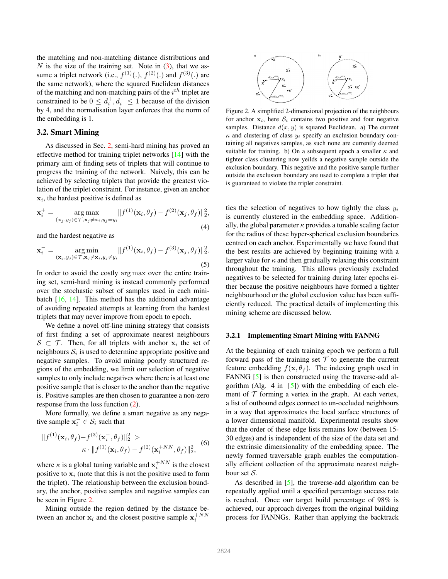the matching and non-matching distance distributions and  $N$  is the size of the training set. Note in  $(3)$ , that we assume a triplet network (i.e.,  $f^{(1)}(.)$ ,  $f^{(2)}(.)$  and  $f^{(3)}(.)$  are the same network), where the squared Euclidean distances of the matching and non-matching pairs of the  $i^{th}$  triplet are constrained to be  $0 \leq d_i^+, d_i^- \leq 1$  because of the division by 4, and the normalisation layer enforces that the norm of the embedding is 1.

## 3.2. Smart Mining

As discussed in Sec. [2,](#page-1-1) semi-hard mining has proved an effective method for training triplet networks [\[14\]](#page-8-13) with the primary aim of finding sets of triplets that will continue to progress the training of the network. Naively, this can be achieved by selecting triplets that provide the greatest violation of the triplet constraint. For instance, given an anchor  $x_i$ , the hardest positive is defined as

$$
\mathbf{x}_i^+ = \underset{(\mathbf{x}_j, y_j) \in \mathcal{T}, \mathbf{x}_j \neq \mathbf{x}_i, y_j = y_i}{\arg \max} ||f^{(1)}(\mathbf{x}_i, \theta_f) - f^{(2)}(\mathbf{x}_j, \theta_f)||_2^2,
$$
\n(4)

and the hardest negative as

$$
\mathbf{x}_i^- = \underset{(\mathbf{x}_j, y_j) \in \mathcal{T}, \mathbf{x}_j \neq \mathbf{x}_i, y_j \neq y_i}{\arg \min} ||f^{(1)}(\mathbf{x}_i, \theta_f) - f^{(3)}(\mathbf{x}_j, \theta_f)||_2^2.
$$
\n(5)

In order to avoid the costly arg max over the entire training set, semi-hard mining is instead commonly performed over the stochastic subset of samples used in each minibatch [\[16,](#page-8-5) [14\]](#page-8-13). This method has the additional advantage of avoiding repeated attempts at learning from the hardest triplets that may never improve from epoch to epoch.

We define a novel off-line mining strategy that consists of first finding a set of approximate nearest neighbours  $S \subset \mathcal{T}$ . Then, for all triplets with anchor  $x_i$  the set of neighbours  $S_i$  is used to determine appropriate positive and negative samples. To avoid mining poorly structured regions of the embedding, we limit our selection of negative samples to only include negatives where there is at least one positive sample that is closer to the anchor than the negative is. Positive samples are then chosen to guarantee a non-zero response from the loss function [\(2\)](#page-2-1).

More formally, we define a smart negative as any negative sample  $x_i^- \in S_i$  such that

<span id="page-3-1"></span>
$$
||f^{(1)}(\mathbf{x}_i, \theta_f) - f^{(3)}(\mathbf{x}_i, \theta_f)||_2^2 >
$$
  

$$
\kappa \cdot ||f^{(1)}(\mathbf{x}_i, \theta_f) - f^{(2)}(\mathbf{x}_i^{+NN}, \theta_f)||_2^2,
$$
 (6)

where  $\kappa$  is a global tuning variable and  $\mathbf{x}_i^{+NN}$  is the closest positive to  $x_i$  (note that this is not the positive used to form the triplet). The relationship between the exclusion boundary, the anchor, positive samples and negative samples can be seen in Figure [2.](#page-3-0)

Mining outside the region defined by the distance between an anchor  $x_i$  and the closest positive sample  $x_i^{+NN}$ 



<span id="page-3-0"></span>Figure 2. A simplified 2-dimensional projection of the neighbours for anchor  $x_i$ , here  $S_i$  contains two positive and four negative samples. Distance  $d(x, y)$  is squared Euclidean. a) The current  $\kappa$  and clustering of class  $y_i$  specify an exclusion boundary containing all negatives samples, as such none are currently deemed suitable for training. b) On a subsequent epoch a smaller  $\kappa$  and tighter class clustering now yeilds a negative sample outside the exclusion boundary. This negative and the positive sample further outside the exclusion boundary are used to complete a triplet that is guaranteed to violate the triplet constraint.

ties the selection of negatives to how tightly the class  $y_i$ is currently clustered in the embedding space. Additionally, the global parameter  $\kappa$  provides a tunable scaling factor for the radius of these hyper-spherical exclusion boundaries centred on each anchor. Experimentally we have found that the best results are achieved by beginning training with a larger value for  $\kappa$  and then gradually relaxing this constraint throughout the training. This allows previously excluded negatives to be selected for training during later epochs either because the positive neighbours have formed a tighter neighbourhood or the global exclusion value has been sufficiently reduced. The practical details of implementing this mining scheme are discussed below.

#### 3.2.1 Implementing Smart Mining with FANNG

At the beginning of each training epoch we perform a full forward pass of the training set  $T$  to generate the current feature embedding  $f(\mathbf{x}, \theta_f)$ . The indexing graph used in FANNG [\[5\]](#page-8-19) is then constructed using the traverse-add algorithm (Alg.  $4$  in [\[5\]](#page-8-19)) with the embedding of each element of  $T$  forming a vertex in the graph. At each vertex, a list of outbound edges connect to un-occluded neighbours in a way that approximates the local surface structures of a lower dimensional manifold. Experimental results show that the order of these edge lists remains low (between 15- 30 edges) and is independent of the size of the data set and the extrinsic dimensionality of the embedding space. The newly formed traversable graph enables the computationally efficient collection of the approximate nearest neighbour set  $S$ .

As described in [\[5\]](#page-8-19), the traverse-add algorithm can be repeatedly applied until a specified percentage success rate is reached. Once our target build percentage of 98% is achieved, our approach diverges from the original building process for FANNGs. Rather than applying the backtrack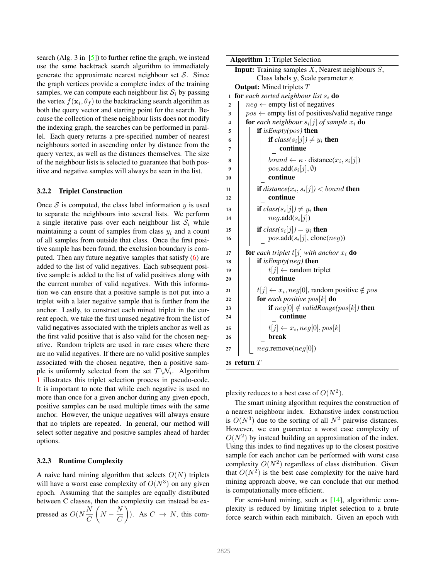search (Alg. 3 in  $\lceil 5 \rceil$ ) to further refine the graph, we instead use the same backtrack search algorithm to immediately generate the approximate nearest neighbour set  $S$ . Since the graph vertices provide a complete index of the training samples, we can compute each neighbour list  $S_i$  by passing the vertex  $f(\mathbf{x}_i, \theta_f)$  to the backtracking search algorithm as both the query vector and starting point for the search. Because the collection of these neighbour lists does not modify the indexing graph, the searches can be performed in parallel. Each query returns a pre-specified number of nearest neighbours sorted in ascending order by distance from the query vertex, as well as the distances themselves. The size of the neighbour lists is selected to guarantee that both positive and negative samples will always be seen in the list.

## 3.2.2 Triplet Construction

Once  $S$  is computed, the class label information  $y$  is used to separate the neighbours into several lists. We perform a single iterative pass over each neighbour list  $S_i$  while maintaining a count of samples from class  $y_i$  and a count of all samples from outside that class. Once the first positive sample has been found, the exclusion boundary is computed. Then any future negative samples that satisfy [\(6\)](#page-3-1) are added to the list of valid negatives. Each subsequent positive sample is added to the list of valid positives along with the current number of valid negatives. With this information we can ensure that a positive sample is not put into a triplet with a later negative sample that is further from the anchor. Lastly, to construct each mined triplet in the current epoch, we take the first unused negative from the list of valid negatives associated with the triplets anchor as well as the first valid positive that is also valid for the chosen negative. Random triplets are used in rare cases where there are no valid negatives. If there are no valid positive samples associated with the chosen negative, then a positive sample is uniformly selected from the set  $\mathcal{T} \backslash \mathcal{N}_i$ . Algorithm [1](#page-4-0) illustrates this triplet selection process in pseudo-code. It is important to note that while each negative is used no more than once for a given anchor during any given epoch, positive samples can be used multiple times with the same anchor. However, the unique negatives will always ensure that no triplets are repeated. In general, our method will select softer negative and positive samples ahead of harder options.

#### 3.2.3 Runtime Complexity

A naive hard mining algorithm that selects  $O(N)$  triplets will have a worst case complexity of  $O(N^3)$  on any given epoch. Assuming that the samples are equally distributed between C classes, then the complexity can instead be expressed as  $O(N\frac{N}{Q})$  $\mathcal{C}_{0}^{(n)}$  $\left(N-\frac{N}{Q}\right)$  $\mathcal{C}_{0}^{(n)}$ ). As  $C \rightarrow N$ , this com-

| <b>Algorithm 1: Triplet Selection</b>                                 |  |  |  |  |  |  |  |
|-----------------------------------------------------------------------|--|--|--|--|--|--|--|
| <b>Input:</b> Training samples $X$ , Nearest neighbours $S$ ,         |  |  |  |  |  |  |  |
| Class labels y, Scale parameter $\kappa$                              |  |  |  |  |  |  |  |
| <b>Output:</b> Mined triplets $T$                                     |  |  |  |  |  |  |  |
| <b>for</b> each sorted neighbour list $s_i$ <b>do</b><br>1            |  |  |  |  |  |  |  |
| $neg \leftarrow$ empty list of negatives<br>2                         |  |  |  |  |  |  |  |
| $pos \leftarrow$ empty list of positives/valid negative range<br>3    |  |  |  |  |  |  |  |
| <b>for</b> each neighbour $s_i[j]$ of sample $x_i$ <b>do</b><br>4     |  |  |  |  |  |  |  |
| if is $Empty(pos)$ then<br>5                                          |  |  |  |  |  |  |  |
| <b>if</b> $class(s_i[j]) \neq y_i$ <b>then</b><br>6                   |  |  |  |  |  |  |  |
| continue<br>7                                                         |  |  |  |  |  |  |  |
| bound $\leftarrow \kappa \cdot \text{distance}(x_i, s_i[j])$<br>8     |  |  |  |  |  |  |  |
| $pos.add(s_i[j], \emptyset)$<br>9                                     |  |  |  |  |  |  |  |
| continue<br>10                                                        |  |  |  |  |  |  |  |
| <b>if</b> distance( $x_i$ , $s_i[j]$ ) < bound <b>then</b><br>11      |  |  |  |  |  |  |  |
| continue<br>12                                                        |  |  |  |  |  |  |  |
| <b>if</b> $class(s_i[j]) \neq y_i$ then<br>13                         |  |  |  |  |  |  |  |
| $neg.add(s_i[j])$<br>14                                               |  |  |  |  |  |  |  |
| if $class(s_i[j]) = y_i$ then<br>15                                   |  |  |  |  |  |  |  |
| $pos.add(s_i[j], clone(neg))$<br>16                                   |  |  |  |  |  |  |  |
| <b>for</b> each triplet $t[j]$ with anchor $x_i$ <b>do</b><br>17      |  |  |  |  |  |  |  |
| if $isEmpty(neg)$ then<br>18                                          |  |  |  |  |  |  |  |
| $t[j] \leftarrow$ random triplet<br>19                                |  |  |  |  |  |  |  |
| continue<br>20                                                        |  |  |  |  |  |  |  |
| $t[j] \leftarrow x_i$ , $neg[0]$ , random positive $\notin pos$<br>21 |  |  |  |  |  |  |  |
| <b>for</b> each positive pos[k] <b>do</b><br>22                       |  |  |  |  |  |  |  |
| <b>if</b> $neg[0] \notin validRange(pos[k])$ then<br>23               |  |  |  |  |  |  |  |
| continue<br>24                                                        |  |  |  |  |  |  |  |
| $t[j] \leftarrow x_i, neg[0], pos[k]$<br>25                           |  |  |  |  |  |  |  |
| break<br>26                                                           |  |  |  |  |  |  |  |
| $neg$ .remove $(neg[0])$<br>27                                        |  |  |  |  |  |  |  |
| return $T$<br>28                                                      |  |  |  |  |  |  |  |

<span id="page-4-0"></span>plexity reduces to a best case of  $O(N^2)$ .

The smart mining algorithm requires the construction of a nearest neighbour index. Exhaustive index construction is  $O(N^3)$  due to the sorting of all  $N^2$  pairwise distances. However, we can guarentee a worst case complexity of  $O(N^2)$  by instead building an approximation of the index. Using this index to find negatives up to the closest positive sample for each anchor can be performed with worst case complexity  $O(N^2)$  regardless of class distribution. Given that  $O(N^2)$  is the best case complexity for the naive hard mining approach above, we can conclude that our method is computationally more efficient.

For semi-hard mining, such as [\[14\]](#page-8-13), algorithmic complexity is reduced by limiting triplet selection to a brute force search within each minibatch. Given an epoch with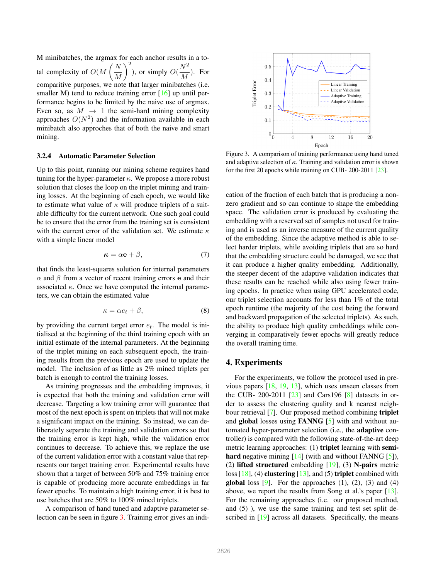M minibatches, the argmax for each anchor results in a total complexity of  $O(M) \left( \frac{N}{M} \right)$ M  $\int_{0}^{2}$ ), or simply  $O(\frac{N^2}{M})$  $\frac{N}{M}$ ). For comparitive purposes, we note that larger minibatches (i.e. smaller M) tend to reduce training error  $[16]$  up until performance begins to be limited by the naive use of argmax. Even so, as  $M \rightarrow 1$  the semi-hard mining complexity approaches  $O(N^2)$  and the information available in each minibatch also approches that of both the naive and smart mining.

### 3.2.4 Automatic Parameter Selection

Up to this point, running our mining scheme requires hand tuning for the hyper-parameter  $\kappa$ . We propose a more robust solution that closes the loop on the triplet mining and training losses. At the beginning of each epoch, we would like to estimate what value of  $\kappa$  will produce triplets of a suitable difficulty for the current network. One such goal could be to ensure that the error from the training set is consistent with the current error of the validation set. We estimate  $\kappa$ with a simple linear model

$$
\kappa = \alpha \mathbf{e} + \beta,\tag{7}
$$

that finds the least-squares solution for internal parameters  $\alpha$  and  $\beta$  from a vector of recent training errors e and their associated  $\kappa$ . Once we have computed the internal parameters, we can obtain the estimated value

$$
\kappa = \alpha e_t + \beta,\tag{8}
$$

by providing the current target error  $e_t$ . The model is initialised at the beginning of the third training epoch with an initial estimate of the internal parameters. At the beginning of the triplet mining on each subsequent epoch, the training results from the previous epoch are used to update the model. The inclusion of as little as 2% mined triplets per batch is enough to control the training losses.

As training progresses and the embedding improves, it is expected that both the training and validation error will decrease. Targeting a low training error will guarantee that most of the next epoch is spent on triplets that will not make a significant impact on the training. So instead, we can deliberately separate the training and validation errors so that the training error is kept high, while the validation error continues to decrease. To achieve this, we replace the use of the current validation error with a constant value that represents our target training error. Experimental results have shown that a target of between 50% and 75% training error is capable of producing more accurate embeddings in far fewer epochs. To maintain a high training error, it is best to use batches that are 50% to 100% mined triplets.

A comparison of hand tuned and adaptive parameter selection can be seen in figure [3.](#page-5-0) Training error gives an indi-



<span id="page-5-0"></span>Figure 3. A comparison of training performance using hand tuned and adaptive selection of  $\kappa$ . Training and validation error is shown for the first 20 epochs while training on CUB- 200-2011 [\[23\]](#page-8-22).

cation of the fraction of each batch that is producing a nonzero gradient and so can continue to shape the embedding space. The validation error is produced by evaluating the embedding with a reserved set of samples not used for training and is used as an inverse measure of the current quality of the embedding. Since the adaptive method is able to select harder triplets, while avoiding triplets that are so hard that the embedding structure could be damaged, we see that it can produce a higher quality embedding. Additionally, the steeper decent of the adaptive validation indicates that these results can be reached while also using fewer training epochs. In practice when using GPU accelerated code, our triplet selection accounts for less than 1% of the total epoch runtime (the majority of the cost being the forward and backward propagation of the selected triplets). As such, the ability to produce high quality embeddings while converging in comparatively fewer epochs will greatly reduce the overall training time.

#### 4. Experiments

For the experiments, we follow the protocol used in previous papers [\[18,](#page-8-23) [19,](#page-8-14) [13\]](#page-8-7), which uses unseen classes from the CUB- 200-2011  $[23]$  and Cars196  $[8]$  datasets in order to assess the clustering quality and k nearest neighbour retrieval [\[7\]](#page-8-25). Our proposed method combining triplet and global losses using FANNG [\[5\]](#page-8-19) with and without automated hyper-parameter selection (i.e., the adaptive controller) is compared with the following state-of-the-art deep metric learning approaches: (1) triplet learning with semi**hard** negative mining  $[14]$  (with and without FANNG  $[5]$ ), (2) lifted structured embedding  $[19]$ , (3) N-pairs metric loss  $[18]$ , (4) **clustering**  $[13]$ , and (5) **triplet** combined with **global** loss  $[9]$ . For the approaches  $(1)$ ,  $(2)$ ,  $(3)$  and  $(4)$ above, we report the results from Song et al.'s paper [\[13\]](#page-8-7). For the remaining approaches (i.e. our proposed method, and (5) ), we use the same training and test set split de-scribed in [\[19\]](#page-8-14) across all datasets. Specifically, the means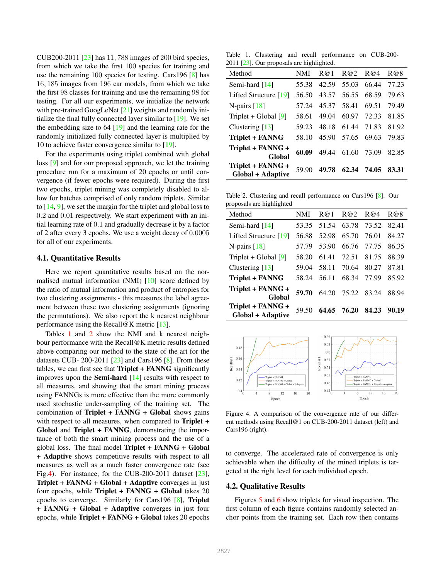CUB200-2011 [\[23\]](#page-8-22) has 11, 788 images of 200 bird species, from which we take the first 100 species for training and use the remaining 100 species for testing. Cars196 [\[8\]](#page-8-24) has 16, 185 images from 196 car models, from which we take the first 98 classes for training and use the remaining 98 for testing. For all our experiments, we initialize the network with pre-trained GoogLeNet [\[21\]](#page-8-26) weights and randomly initialize the final fully connected layer similar to [\[19\]](#page-8-14). We set the embedding size to 64 [\[19\]](#page-8-14) and the learning rate for the randomly initialized fully connected layer is multiplied by 10 to achieve faster convergence similar to [\[19\]](#page-8-14).

For the experiments using triplet combined with global loss [\[9\]](#page-8-2) and for our proposed approach, we let the training procedure run for a maximum of 20 epochs or until convergence (if fewer epochs were required). During the first two epochs, triplet mining was completely disabled to allow for batches comprised of only random triplets. Similar to [\[14,](#page-8-13) [9\]](#page-8-2), we set the margin for the triplet and global loss to 0.2 and 0.01 respectively. We start experiment with an initial learning rate of 0.1 and gradually decrease it by a factor of 2 after every 3 epochs. We use a weight decay of 0.0005 for all of our experiments.

## 4.1. Quantitative Results

Here we report quantitative results based on the normalised mutual information (NMI) [\[10\]](#page-8-27) score defined by the ratio of mutual information and product of entropies for two clustering assignments - this measures the label agreement between these two clustering assignments (ignoring the permutations). We also report the k nearest neighbour performance using the Recall@K metric [\[13\]](#page-8-7).

Tables [1](#page-6-0) and [2](#page-6-1) show the NMI and k nearest neighbour performance with the Recall@K metric results defined above comparing our method to the state of the art for the datasets CUB- 200-2011  $[23]$  and Cars196  $[8]$ . From these tables, we can first see that Triplet + FANNG significantly improves upon the Semi-hard [\[14\]](#page-8-13) results with respect to all measures, and showing that the smart mining process using FANNGs is more effective than the more commonly used stochastic under-sampling of the training set. The combination of **Triplet + FANNG + Global** shows gains with respect to all measures, when compared to Triplet + Global and Triplet + FANNG, demonstrating the importance of both the smart mining process and the use of a global loss. The final model  $Triplet + FANNG + Global$ + Adaptive shows competitive results with respect to all measures as well as a much faster convergence rate (see Fig[.4\)](#page-6-2). For instance, for the CUB-200-2011 dataset [\[23\]](#page-8-22), Triplet + FANNG + Global + Adaptive converges in just four epochs, while Triplet + FANNG + Global takes 20 epochs to converge. Similarly for Cars196 [\[8\]](#page-8-24), Triplet + FANNG + Global + Adaptive converges in just four epochs, while Triplet + FANNG + Global takes 20 epochs

<span id="page-6-0"></span>Table 1. Clustering and recall performance on CUB-200- 2011 [\[23\]](#page-8-22). Our proposals are highlighted.

| Method                                        | NMI   | R@1   | R@2   | R@4   | R@8   |
|-----------------------------------------------|-------|-------|-------|-------|-------|
| Semi-hard [14]                                | 55.38 | 42.59 | 55.03 | 66.44 | 77.23 |
| Lifted Structure [19]                         | 56.50 | 43.57 | 56.55 | 68.59 | 79.63 |
| N-pairs $[18]$                                | 57.24 | 45.37 | 58.41 | 69.51 | 79.49 |
| Triplet + Global $[9]$                        | 58.61 | 49.04 | 60.97 | 72.33 | 81.85 |
| Clustering $[13]$                             | 59.23 | 48.18 | 61.44 | 71.83 | 81.92 |
| <b>Triplet + FANNG</b>                        | 58.10 | 45.90 | 57.65 | 69.63 | 79.83 |
| Triplet + FANNG +<br>Global                   | 60.09 | 49.44 | 61.60 | 73.09 | 82.85 |
| Triplet + FANNG +<br><b>Global + Adaptive</b> | 59.90 | 49.78 | 62.34 | 74.05 | 83.31 |

<span id="page-6-1"></span>Table 2. Clustering and recall performance on Cars196 [\[8\]](#page-8-24). Our proposals are highlighted

| Method                                 | NMI   | R@1   | R@2   | R@4   | R@8   |
|----------------------------------------|-------|-------|-------|-------|-------|
| Semi-hard [14]                         | 53.35 | 51.54 | 63.78 | 73.52 | 82.41 |
| Lifted Structure [19]                  | 56.88 | 52.98 | 65.70 | 76.01 | 84.27 |
| N-pairs $[18]$                         | 57.79 | 53.90 | 66.76 | 77.75 | 86.35 |
| Triplet + Global $[9]$                 | 58.20 | 61.41 | 72.51 | 81.75 | 88.39 |
| Clustering $[13]$                      | 59.04 | 58.11 | 70.64 | 80.27 | 87.81 |
| <b>Triplet + FANNG</b>                 | 58.24 | 56.11 | 68.34 | 77.99 | 85.92 |
| Triplet + FANNG +<br>Global            | 59.70 | 64.20 | 75.22 | 83.24 | 88.94 |
| Triplet + FANNG +<br>Global + Adaptive | 59.50 | 64.65 | 76.20 | 84.23 | 90.19 |
|                                        |       |       |       |       |       |



<span id="page-6-2"></span>Figure 4. A comparison of the convergence rate of our different methods using Recall@1 on CUB-200-2011 dataset (left) and Cars196 (right).

to converge. The accelerated rate of convergence is only achievable when the difficulty of the mined triplets is targeted at the right level for each individual epoch.

### 4.2. Qualitative Results

Figures [5](#page-7-0) and [6](#page-7-1) show triplets for visual inspection. The first column of each figure contains randomly selected anchor points from the training set. Each row then contains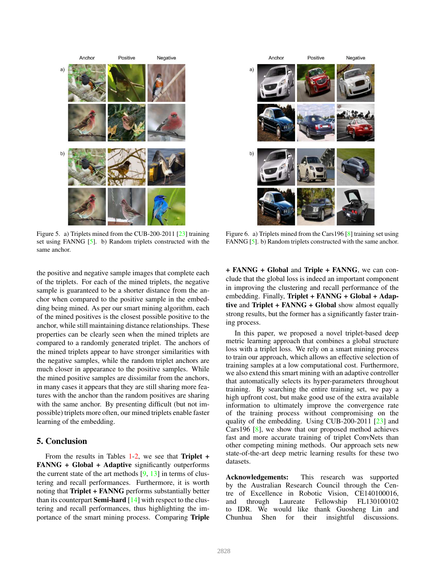

<span id="page-7-0"></span>Figure 5. a) Triplets mined from the CUB-200-2011 [\[23\]](#page-8-22) training set using FANNG [\[5\]](#page-8-19). b) Random triplets constructed with the same anchor.

the positive and negative sample images that complete each of the triplets. For each of the mined triplets, the negative sample is guaranteed to be a shorter distance from the anchor when compared to the positive sample in the embedding being mined. As per our smart mining algorithm, each of the mined positives is the closest possible positive to the anchor, while still maintaining distance relationships. These properties can be clearly seen when the mined triplets are compared to a randomly generated triplet. The anchors of the mined triplets appear to have stronger similarities with the negative samples, while the random triplet anchors are much closer in appearance to the positive samples. While the mined positive samples are dissimilar from the anchors, in many cases it appears that they are still sharing more features with the anchor than the random positives are sharing with the same anchor. By presenting difficult (but not impossible) triplets more often, our mined triplets enable faster learning of the embedding.

## 5. Conclusion

From the results in Tables  $1-2$  $1-2$ , we see that **Triplet +** FANNG + Global + Adaptive significantly outperforms the current state of the art methods  $[9, 13]$  $[9, 13]$  in terms of clustering and recall performances. Furthermore, it is worth noting that Triplet + FANNG performs substantially better than its counterpart Semi-hard [\[14\]](#page-8-13) with respect to the clustering and recall performances, thus highlighting the importance of the smart mining process. Comparing Triple



<span id="page-7-1"></span>Figure 6. a) Triplets mined from the Cars196 [\[8\]](#page-8-24) training set using FANNG [\[5\]](#page-8-19). b) Random triplets constructed with the same anchor.

+ FANNG + Global and Triple + FANNG, we can conclude that the global loss is indeed an important component in improving the clustering and recall performance of the embedding. Finally, Triplet + FANNG + Global + Adaptive and Triplet + FANNG + Global show almost equally strong results, but the former has a significantly faster training process.

In this paper, we proposed a novel triplet-based deep metric learning approach that combines a global structure loss with a triplet loss. We rely on a smart mining process to train our approach, which allows an effective selection of training samples at a low computational cost. Furthermore, we also extend this smart mining with an adaptive controller that automatically selects its hyper-parameters throughout training. By searching the entire training set, we pay a high upfront cost, but make good use of the extra available information to ultimately improve the convergence rate of the training process without compromising on the quality of the embedding. Using CUB-200-2011 [\[23\]](#page-8-22) and Cars196 [\[8\]](#page-8-24), we show that our proposed method achieves fast and more accurate training of triplet ConvNets than other competing mining methods. Our approach sets new state-of-the-art deep metric learning results for these two datasets.

Acknowledgements: This research was supported by the Australian Research Council through the Centre of Excellence in Robotic Vision, CE140100016, and through Laureate Fellowship FL130100102 to IDR. We would like thank Guosheng Lin and Chunhua Shen for their insightful discussions.